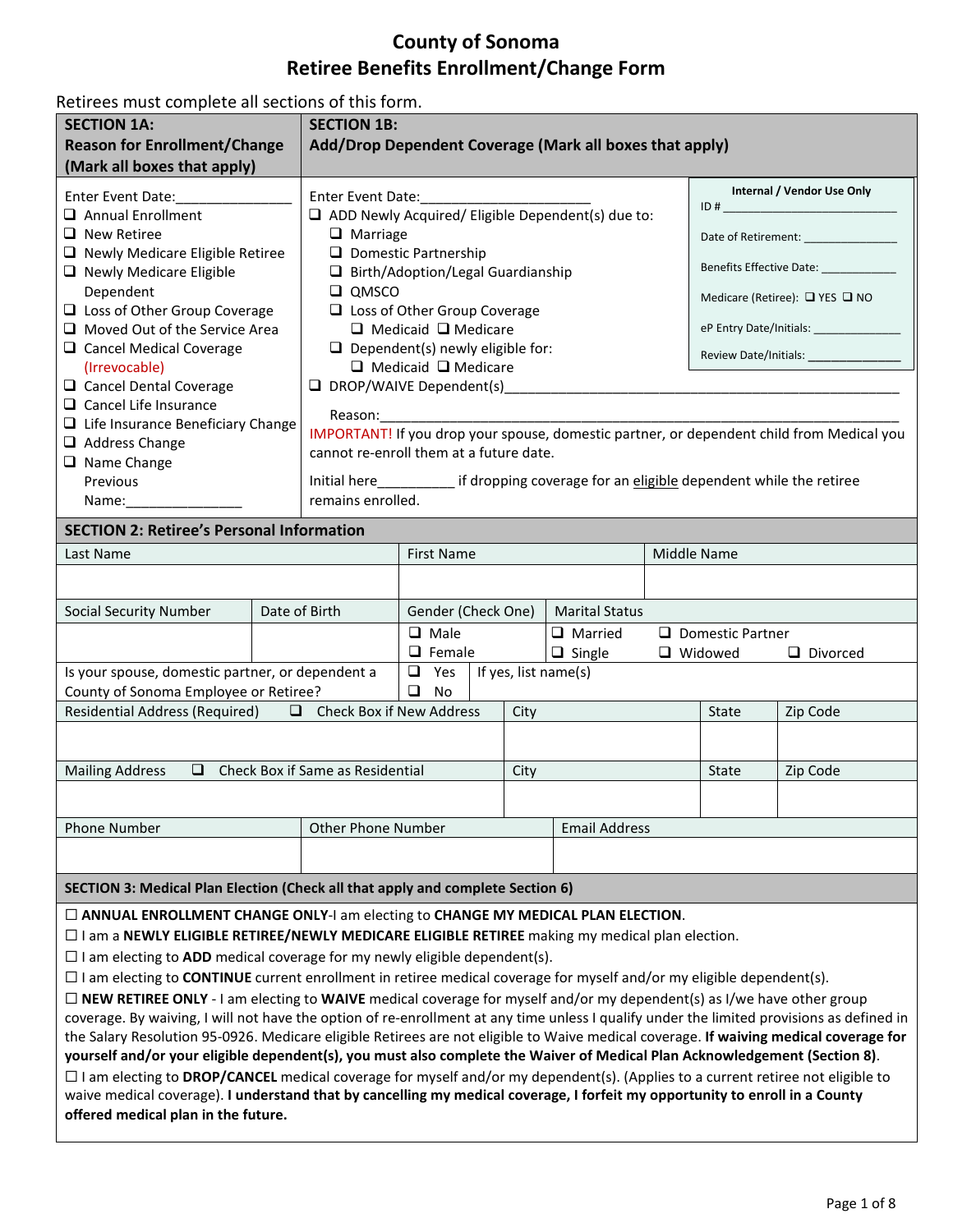## **County of Sonoma Retiree Benefits Enrollment/Change Form**

Retirees must complete all sections of this form.

| <b>SECTION 1A:</b>                                                                                                                                                                        |                                                                                                                                                                                                                                                                     | <b>SECTION 1B:</b>                                                 |                                         |                                       |                                                                                             |                              |                                        |                                                                                           |  |
|-------------------------------------------------------------------------------------------------------------------------------------------------------------------------------------------|---------------------------------------------------------------------------------------------------------------------------------------------------------------------------------------------------------------------------------------------------------------------|--------------------------------------------------------------------|-----------------------------------------|---------------------------------------|---------------------------------------------------------------------------------------------|------------------------------|----------------------------------------|-------------------------------------------------------------------------------------------|--|
| <b>Reason for Enrollment/Change</b>                                                                                                                                                       | Add/Drop Dependent Coverage (Mark all boxes that apply)                                                                                                                                                                                                             |                                                                    |                                         |                                       |                                                                                             |                              |                                        |                                                                                           |  |
| (Mark all boxes that apply)                                                                                                                                                               |                                                                                                                                                                                                                                                                     |                                                                    |                                         |                                       |                                                                                             |                              |                                        |                                                                                           |  |
| Enter Event Date:____________                                                                                                                                                             |                                                                                                                                                                                                                                                                     | Enter Event Date: Management Press, 2014                           |                                         | Internal / Vendor Use Only            |                                                                                             |                              |                                        |                                                                                           |  |
| $\Box$ Annual Enrollment                                                                                                                                                                  |                                                                                                                                                                                                                                                                     | $\Box$ ADD Newly Acquired/ Eligible Dependent(s) due to:           |                                         |                                       |                                                                                             |                              |                                        |                                                                                           |  |
| $\Box$ New Retiree                                                                                                                                                                        | $\Box$ Marriage                                                                                                                                                                                                                                                     |                                                                    |                                         |                                       | Date of Retirement: ______________                                                          |                              |                                        |                                                                                           |  |
| $\Box$ Newly Medicare Eligible Retiree<br>$\Box$ Newly Medicare Eligible                                                                                                                  |                                                                                                                                                                                                                                                                     | $\Box$ Domestic Partnership<br>□ Birth/Adoption/Legal Guardianship |                                         | Benefits Effective Date: ____________ |                                                                                             |                              |                                        |                                                                                           |  |
| Dependent                                                                                                                                                                                 | $\square$ QMSCO                                                                                                                                                                                                                                                     |                                                                    |                                         | Medicare (Retiree): □ YES □ NO        |                                                                                             |                              |                                        |                                                                                           |  |
| □ Loss of Other Group Coverage                                                                                                                                                            |                                                                                                                                                                                                                                                                     | □ Loss of Other Group Coverage                                     |                                         |                                       |                                                                                             |                              |                                        |                                                                                           |  |
| Moved Out of the Service Area                                                                                                                                                             |                                                                                                                                                                                                                                                                     | $\Box$ Medicaid $\Box$ Medicare                                    |                                         |                                       |                                                                                             |                              |                                        |                                                                                           |  |
| □ Cancel Medical Coverage                                                                                                                                                                 |                                                                                                                                                                                                                                                                     |                                                                    | $\Box$ Dependent(s) newly eligible for: |                                       |                                                                                             |                              | Review Date/Initials: ________________ |                                                                                           |  |
| (Irrevocable)                                                                                                                                                                             |                                                                                                                                                                                                                                                                     |                                                                    | $\Box$ Medicaid $\Box$ Medicare         |                                       |                                                                                             |                              |                                        |                                                                                           |  |
| □ Cancel Dental Coverage<br>$\Box$ Cancel Life Insurance                                                                                                                                  |                                                                                                                                                                                                                                                                     |                                                                    | $\Box$ DROP/WAIVE Dependent(s)          |                                       |                                                                                             |                              |                                        |                                                                                           |  |
| $\Box$ Life Insurance Beneficiary Change                                                                                                                                                  |                                                                                                                                                                                                                                                                     |                                                                    |                                         |                                       |                                                                                             |                              |                                        |                                                                                           |  |
| $\Box$ Address Change                                                                                                                                                                     |                                                                                                                                                                                                                                                                     |                                                                    |                                         |                                       |                                                                                             |                              |                                        | IMPORTANT! If you drop your spouse, domestic partner, or dependent child from Medical you |  |
| $\Box$ Name Change                                                                                                                                                                        |                                                                                                                                                                                                                                                                     |                                                                    | cannot re-enroll them at a future date. |                                       |                                                                                             |                              |                                        |                                                                                           |  |
| Previous                                                                                                                                                                                  |                                                                                                                                                                                                                                                                     |                                                                    |                                         |                                       | Initial here _____________ if dropping coverage for an eligible dependent while the retiree |                              |                                        |                                                                                           |  |
|                                                                                                                                                                                           |                                                                                                                                                                                                                                                                     | remains enrolled.                                                  |                                         |                                       |                                                                                             |                              |                                        |                                                                                           |  |
| <b>SECTION 2: Retiree's Personal Information</b>                                                                                                                                          |                                                                                                                                                                                                                                                                     |                                                                    |                                         |                                       |                                                                                             |                              |                                        |                                                                                           |  |
| Last Name                                                                                                                                                                                 | <b>First Name</b>                                                                                                                                                                                                                                                   |                                                                    |                                         |                                       | Middle Name                                                                                 |                              |                                        |                                                                                           |  |
|                                                                                                                                                                                           |                                                                                                                                                                                                                                                                     |                                                                    |                                         |                                       |                                                                                             |                              |                                        |                                                                                           |  |
| <b>Social Security Number</b>                                                                                                                                                             | Date of Birth<br>Gender (Check One)<br><b>Marital Status</b>                                                                                                                                                                                                        |                                                                    |                                         |                                       |                                                                                             |                              |                                        |                                                                                           |  |
|                                                                                                                                                                                           | $\Box$ Male<br>$\Box$ Married                                                                                                                                                                                                                                       |                                                                    |                                         |                                       |                                                                                             | $\Box$ Domestic Partner      |                                        |                                                                                           |  |
|                                                                                                                                                                                           | $\Box$ Female<br>$\Box$ Single                                                                                                                                                                                                                                      |                                                                    |                                         |                                       |                                                                                             | □ Widowed<br>$\Box$ Divorced |                                        |                                                                                           |  |
| Is your spouse, domestic partner, or dependent a                                                                                                                                          |                                                                                                                                                                                                                                                                     | If yes, list name(s)<br>$\Box$ Yes                                 |                                         |                                       |                                                                                             |                              |                                        |                                                                                           |  |
| County of Sonoma Employee or Retiree?                                                                                                                                                     | $\Box$ No                                                                                                                                                                                                                                                           |                                                                    |                                         |                                       |                                                                                             |                              |                                        |                                                                                           |  |
| Residential Address (Required) $\Box$ Check Box if New Address                                                                                                                            |                                                                                                                                                                                                                                                                     |                                                                    |                                         | City                                  |                                                                                             |                              | State                                  | Zip Code                                                                                  |  |
|                                                                                                                                                                                           |                                                                                                                                                                                                                                                                     |                                                                    |                                         |                                       |                                                                                             |                              |                                        |                                                                                           |  |
| <b>Mailing Address</b>                                                                                                                                                                    |                                                                                                                                                                                                                                                                     | $\Box$ Check Box if Same as Residential                            |                                         | City                                  |                                                                                             |                              | <b>State</b>                           | Zip Code                                                                                  |  |
|                                                                                                                                                                                           |                                                                                                                                                                                                                                                                     |                                                                    |                                         |                                       |                                                                                             |                              |                                        |                                                                                           |  |
| <b>Phone Number</b><br><b>Other Phone Number</b>                                                                                                                                          |                                                                                                                                                                                                                                                                     |                                                                    | <b>Email Address</b>                    |                                       |                                                                                             |                              |                                        |                                                                                           |  |
|                                                                                                                                                                                           |                                                                                                                                                                                                                                                                     |                                                                    |                                         |                                       |                                                                                             |                              |                                        |                                                                                           |  |
| SECTION 3: Medical Plan Election (Check all that apply and complete Section 6)                                                                                                            |                                                                                                                                                                                                                                                                     |                                                                    |                                         |                                       |                                                                                             |                              |                                        |                                                                                           |  |
| □ ANNUAL ENROLLMENT CHANGE ONLY-I am electing to CHANGE MY MEDICAL PLAN ELECTION.                                                                                                         |                                                                                                                                                                                                                                                                     |                                                                    |                                         |                                       |                                                                                             |                              |                                        |                                                                                           |  |
|                                                                                                                                                                                           |                                                                                                                                                                                                                                                                     |                                                                    |                                         |                                       |                                                                                             |                              |                                        |                                                                                           |  |
| $\Box$ I am a NEWLY ELIGIBLE RETIREE/NEWLY MEDICARE ELIGIBLE RETIREE making my medical plan election.<br>$\Box$ I am electing to ADD medical coverage for my newly eligible dependent(s). |                                                                                                                                                                                                                                                                     |                                                                    |                                         |                                       |                                                                                             |                              |                                        |                                                                                           |  |
| $\Box$ I am electing to CONTINUE current enrollment in retiree medical coverage for myself and/or my eligible dependent(s).                                                               |                                                                                                                                                                                                                                                                     |                                                                    |                                         |                                       |                                                                                             |                              |                                        |                                                                                           |  |
| $\Box$ NEW RETIREE ONLY - I am electing to WAIVE medical coverage for myself and/or my dependent(s) as I/we have other group                                                              |                                                                                                                                                                                                                                                                     |                                                                    |                                         |                                       |                                                                                             |                              |                                        |                                                                                           |  |
| coverage. By waiving, I will not have the option of re-enrollment at any time unless I qualify under the limited provisions as defined in                                                 |                                                                                                                                                                                                                                                                     |                                                                    |                                         |                                       |                                                                                             |                              |                                        |                                                                                           |  |
| the Salary Resolution 95-0926. Medicare eligible Retirees are not eligible to Waive medical coverage. If waiving medical coverage for                                                     |                                                                                                                                                                                                                                                                     |                                                                    |                                         |                                       |                                                                                             |                              |                                        |                                                                                           |  |
|                                                                                                                                                                                           |                                                                                                                                                                                                                                                                     |                                                                    |                                         |                                       |                                                                                             |                              |                                        |                                                                                           |  |
|                                                                                                                                                                                           | yourself and/or your eligible dependent(s), you must also complete the Waiver of Medical Plan Acknowledgement (Section 8).<br>$\Box$ I am electing to DROP/CANCEL medical coverage for myself and/or my dependent(s). (Applies to a current retiree not eligible to |                                                                    |                                         |                                       |                                                                                             |                              |                                        |                                                                                           |  |
| waive medical coverage). I understand that by cancelling my medical coverage, I forfeit my opportunity to enroll in a County                                                              |                                                                                                                                                                                                                                                                     |                                                                    |                                         |                                       |                                                                                             |                              |                                        |                                                                                           |  |
| offered medical plan in the future.                                                                                                                                                       |                                                                                                                                                                                                                                                                     |                                                                    |                                         |                                       |                                                                                             |                              |                                        |                                                                                           |  |
|                                                                                                                                                                                           |                                                                                                                                                                                                                                                                     |                                                                    |                                         |                                       |                                                                                             |                              |                                        |                                                                                           |  |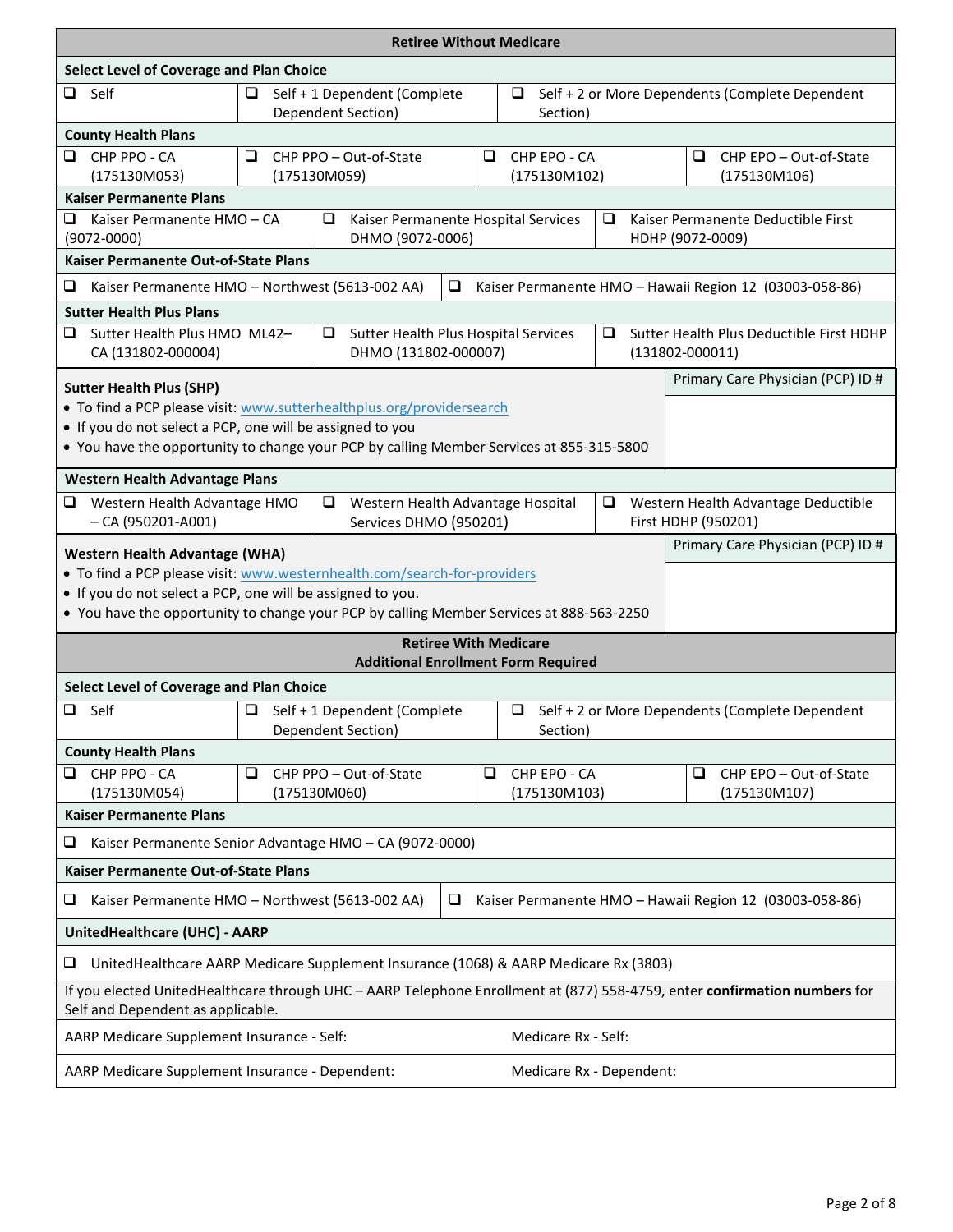| <b>Retiree Without Medicare</b>                                                                                                                                |                                                                   |                                                              |   |                                                                      |                                                             |                                                         |  |  |  |
|----------------------------------------------------------------------------------------------------------------------------------------------------------------|-------------------------------------------------------------------|--------------------------------------------------------------|---|----------------------------------------------------------------------|-------------------------------------------------------------|---------------------------------------------------------|--|--|--|
| Select Level of Coverage and Plan Choice                                                                                                                       |                                                                   |                                                              |   |                                                                      |                                                             |                                                         |  |  |  |
| $\Box$ Self                                                                                                                                                    | $\Box$                                                            | Self + 1 Dependent (Complete<br>Dependent Section)           |   | Self + 2 or More Dependents (Complete Dependent                      |                                                             |                                                         |  |  |  |
| Section)<br><b>County Health Plans</b>                                                                                                                         |                                                                   |                                                              |   |                                                                      |                                                             |                                                         |  |  |  |
| CHP PPO - CA<br>ப<br>(175130M053)                                                                                                                              | ⊔                                                                 | CHP PPO - Out-of-State<br>(175130M059)                       | u | CHP EPO - CA<br>(175130M102)                                         |                                                             | CHP EPO - Out-of-State<br>❏<br>(175130M106)             |  |  |  |
| <b>Kaiser Permanente Plans</b>                                                                                                                                 |                                                                   |                                                              |   |                                                                      |                                                             |                                                         |  |  |  |
| Kaiser Permanente HMO - CA<br>❏<br>$(9072 - 0000)$                                                                                                             |                                                                   | ❏<br>Kaiser Permanente Hospital Services<br>DHMO (9072-0006) |   |                                                                      | ❏<br>Kaiser Permanente Deductible First<br>HDHP (9072-0009) |                                                         |  |  |  |
| Kaiser Permanente Out-of-State Plans                                                                                                                           |                                                                   |                                                              |   |                                                                      |                                                             |                                                         |  |  |  |
| ❏<br>Kaiser Permanente HMO - Northwest (5613-002 AA)                                                                                                           |                                                                   | $\Box$                                                       |   |                                                                      |                                                             | Kaiser Permanente HMO - Hawaii Region 12 (03003-058-86) |  |  |  |
| <b>Sutter Health Plus Plans</b>                                                                                                                                |                                                                   |                                                              |   |                                                                      |                                                             |                                                         |  |  |  |
| Sutter Health Plus HMO ML42-<br>⊔<br>CA (131802-000004)                                                                                                        | Sutter Health Plus Hospital Services<br>❏<br>DHMO (131802-000007) |                                                              |   | Sutter Health Plus Deductible First HDHP<br>⊔<br>$(131802 - 000011)$ |                                                             |                                                         |  |  |  |
| <b>Sutter Health Plus (SHP)</b>                                                                                                                                |                                                                   |                                                              |   |                                                                      |                                                             | Primary Care Physician (PCP) ID #                       |  |  |  |
| . To find a PCP please visit: www.sutterhealthplus.org/providersearch                                                                                          |                                                                   |                                                              |   |                                                                      |                                                             |                                                         |  |  |  |
| • If you do not select a PCP, one will be assigned to you                                                                                                      |                                                                   |                                                              |   |                                                                      |                                                             |                                                         |  |  |  |
| . You have the opportunity to change your PCP by calling Member Services at 855-315-5800                                                                       |                                                                   |                                                              |   |                                                                      |                                                             |                                                         |  |  |  |
| <b>Western Health Advantage Plans</b>                                                                                                                          |                                                                   |                                                              |   |                                                                      |                                                             |                                                         |  |  |  |
| Western Health Advantage HMO<br>⊔                                                                                                                              |                                                                   | Western Health Advantage Hospital<br>⊔                       |   |                                                                      | ⊔                                                           | Western Health Advantage Deductible                     |  |  |  |
| $- CA (950201 - A001)$                                                                                                                                         |                                                                   | Services DHMO (950201)                                       |   |                                                                      |                                                             | First HDHP (950201)                                     |  |  |  |
| Primary Care Physician (PCP) ID #<br><b>Western Health Advantage (WHA)</b>                                                                                     |                                                                   |                                                              |   |                                                                      |                                                             |                                                         |  |  |  |
| . To find a PCP please visit: www.westernhealth.com/search-for-providers                                                                                       |                                                                   |                                                              |   |                                                                      |                                                             |                                                         |  |  |  |
| • If you do not select a PCP, one will be assigned to you.<br>• You have the opportunity to change your PCP by calling Member Services at 888-563-2250         |                                                                   |                                                              |   |                                                                      |                                                             |                                                         |  |  |  |
|                                                                                                                                                                |                                                                   | <b>Retiree With Medicare</b>                                 |   |                                                                      |                                                             |                                                         |  |  |  |
|                                                                                                                                                                |                                                                   | <b>Additional Enrollment Form Required</b>                   |   |                                                                      |                                                             |                                                         |  |  |  |
| Select Level of Coverage and Plan Choice                                                                                                                       |                                                                   |                                                              |   |                                                                      |                                                             |                                                         |  |  |  |
| Self<br>Self + 1 Dependent (Complete<br>Self + 2 or More Dependents (Complete Dependent<br>Q.<br>$\Box$<br>$\Box$<br>Dependent Section)<br>Section)            |                                                                   |                                                              |   |                                                                      |                                                             |                                                         |  |  |  |
| <b>County Health Plans</b>                                                                                                                                     |                                                                   |                                                              |   |                                                                      |                                                             |                                                         |  |  |  |
| CHP PPO - CA<br>CHP PPO - Out-of-State<br>❏<br>⊔<br>⊔                                                                                                          |                                                                   |                                                              |   | CHP EPO - CA<br>CHP EPO - Out-of-State<br>⊔                          |                                                             |                                                         |  |  |  |
| (175130M054)<br>(175130M103)<br>(175130M060)<br>(175130M107)<br><b>Kaiser Permanente Plans</b>                                                                 |                                                                   |                                                              |   |                                                                      |                                                             |                                                         |  |  |  |
| ❏<br>Kaiser Permanente Senior Advantage HMO - CA (9072-0000)                                                                                                   |                                                                   |                                                              |   |                                                                      |                                                             |                                                         |  |  |  |
| Kaiser Permanente Out-of-State Plans                                                                                                                           |                                                                   |                                                              |   |                                                                      |                                                             |                                                         |  |  |  |
| ❏<br>Kaiser Permanente HMO - Northwest (5613-002 AA)<br>⊔<br>Kaiser Permanente HMO - Hawaii Region 12 (03003-058-86)                                           |                                                                   |                                                              |   |                                                                      |                                                             |                                                         |  |  |  |
| UnitedHealthcare (UHC) - AARP                                                                                                                                  |                                                                   |                                                              |   |                                                                      |                                                             |                                                         |  |  |  |
| UnitedHealthcare AARP Medicare Supplement Insurance (1068) & AARP Medicare Rx (3803)<br>❏                                                                      |                                                                   |                                                              |   |                                                                      |                                                             |                                                         |  |  |  |
| If you elected UnitedHealthcare through UHC - AARP Telephone Enrollment at (877) 558-4759, enter confirmation numbers for<br>Self and Dependent as applicable. |                                                                   |                                                              |   |                                                                      |                                                             |                                                         |  |  |  |
| Medicare Rx - Self:<br>AARP Medicare Supplement Insurance - Self:                                                                                              |                                                                   |                                                              |   |                                                                      |                                                             |                                                         |  |  |  |
| AARP Medicare Supplement Insurance - Dependent:<br>Medicare Rx - Dependent:                                                                                    |                                                                   |                                                              |   |                                                                      |                                                             |                                                         |  |  |  |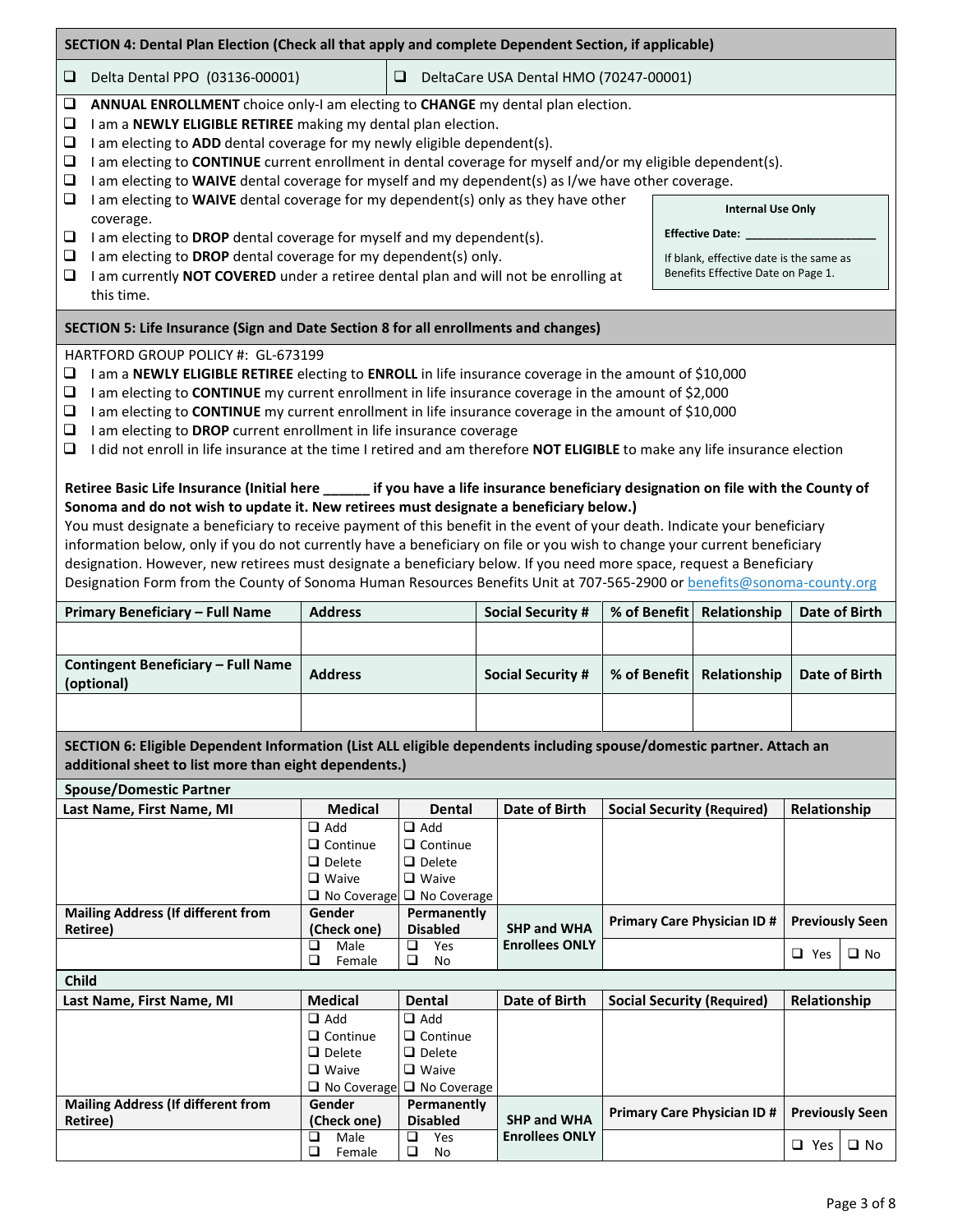| SECTION 4: Dental Plan Election (Check all that apply and complete Dependent Section, if applicable)                                                                                                                                                                                                                                                                                                                                                                                                                                                                                                                                                                                                                                                                                                                                                                                                                                                                                                                                                                                                                                                                                                                                                                                                                                     |                                                                                                                                                                                                                                                                                                                                                                                                                                                  |                                                                                      |                                                                                      |                                             |                                   |              |                            |  |  |  |  |
|------------------------------------------------------------------------------------------------------------------------------------------------------------------------------------------------------------------------------------------------------------------------------------------------------------------------------------------------------------------------------------------------------------------------------------------------------------------------------------------------------------------------------------------------------------------------------------------------------------------------------------------------------------------------------------------------------------------------------------------------------------------------------------------------------------------------------------------------------------------------------------------------------------------------------------------------------------------------------------------------------------------------------------------------------------------------------------------------------------------------------------------------------------------------------------------------------------------------------------------------------------------------------------------------------------------------------------------|--------------------------------------------------------------------------------------------------------------------------------------------------------------------------------------------------------------------------------------------------------------------------------------------------------------------------------------------------------------------------------------------------------------------------------------------------|--------------------------------------------------------------------------------------|--------------------------------------------------------------------------------------|---------------------------------------------|-----------------------------------|--------------|----------------------------|--|--|--|--|
| ❏                                                                                                                                                                                                                                                                                                                                                                                                                                                                                                                                                                                                                                                                                                                                                                                                                                                                                                                                                                                                                                                                                                                                                                                                                                                                                                                                        | Delta Dental PPO (03136-00001)<br>$\Box$<br>DeltaCare USA Dental HMO (70247-00001)                                                                                                                                                                                                                                                                                                                                                               |                                                                                      |                                                                                      |                                             |                                   |              |                            |  |  |  |  |
| $\Box$<br>❏<br>❏<br>❏<br>❏                                                                                                                                                                                                                                                                                                                                                                                                                                                                                                                                                                                                                                                                                                                                                                                                                                                                                                                                                                                                                                                                                                                                                                                                                                                                                                               | ANNUAL ENROLLMENT choice only-I am electing to CHANGE my dental plan election.<br>I am a NEWLY ELIGIBLE RETIREE making my dental plan election.<br>I am electing to ADD dental coverage for my newly eligible dependent(s).<br>I am electing to CONTINUE current enrollment in dental coverage for myself and/or my eligible dependent(s).<br>I am electing to WAIVE dental coverage for myself and my dependent(s) as I/we have other coverage. |                                                                                      |                                                                                      |                                             |                                   |              |                            |  |  |  |  |
| $\Box$                                                                                                                                                                                                                                                                                                                                                                                                                                                                                                                                                                                                                                                                                                                                                                                                                                                                                                                                                                                                                                                                                                                                                                                                                                                                                                                                   | I am electing to WAIVE dental coverage for my dependent(s) only as they have other<br><b>Internal Use Only</b>                                                                                                                                                                                                                                                                                                                                   |                                                                                      |                                                                                      |                                             |                                   |              |                            |  |  |  |  |
| ❏                                                                                                                                                                                                                                                                                                                                                                                                                                                                                                                                                                                                                                                                                                                                                                                                                                                                                                                                                                                                                                                                                                                                                                                                                                                                                                                                        | coverage.<br>I am electing to DROP dental coverage for myself and my dependent(s).                                                                                                                                                                                                                                                                                                                                                               |                                                                                      | Effective Date: _____                                                                |                                             |                                   |              |                            |  |  |  |  |
| $\Box$<br>❏                                                                                                                                                                                                                                                                                                                                                                                                                                                                                                                                                                                                                                                                                                                                                                                                                                                                                                                                                                                                                                                                                                                                                                                                                                                                                                                              | I am electing to DROP dental coverage for my dependent(s) only.<br>I am currently NOT COVERED under a retiree dental plan and will not be enrolling at<br>this time.                                                                                                                                                                                                                                                                             |                                                                                      | If blank, effective date is the same as<br>Benefits Effective Date on Page 1.        |                                             |                                   |              |                            |  |  |  |  |
|                                                                                                                                                                                                                                                                                                                                                                                                                                                                                                                                                                                                                                                                                                                                                                                                                                                                                                                                                                                                                                                                                                                                                                                                                                                                                                                                          | SECTION 5: Life Insurance (Sign and Date Section 8 for all enrollments and changes)                                                                                                                                                                                                                                                                                                                                                              |                                                                                      |                                                                                      |                                             |                                   |              |                            |  |  |  |  |
| HARTFORD GROUP POLICY #: GL-673199<br>I am a NEWLY ELIGIBLE RETIREE electing to ENROLL in life insurance coverage in the amount of \$10,000<br>⊔<br>I am electing to CONTINUE my current enrollment in life insurance coverage in the amount of \$2,000<br>$\Box$<br>I am electing to CONTINUE my current enrollment in life insurance coverage in the amount of \$10,000<br>⊔<br>I am electing to DROP current enrollment in life insurance coverage<br>⊔<br>I did not enroll in life insurance at the time I retired and am therefore NOT ELIGIBLE to make any life insurance election<br>⊔<br>Retiree Basic Life Insurance (Initial here ______ if you have a life insurance beneficiary designation on file with the County of<br>Sonoma and do not wish to update it. New retirees must designate a beneficiary below.)<br>You must designate a beneficiary to receive payment of this benefit in the event of your death. Indicate your beneficiary<br>information below, only if you do not currently have a beneficiary on file or you wish to change your current beneficiary<br>designation. However, new retirees must designate a beneficiary below. If you need more space, request a Beneficiary<br>Designation Form from the County of Sonoma Human Resources Benefits Unit at 707-565-2900 or benefits@sonoma-county.org |                                                                                                                                                                                                                                                                                                                                                                                                                                                  |                                                                                      |                                                                                      |                                             |                                   |              |                            |  |  |  |  |
|                                                                                                                                                                                                                                                                                                                                                                                                                                                                                                                                                                                                                                                                                                                                                                                                                                                                                                                                                                                                                                                                                                                                                                                                                                                                                                                                          |                                                                                                                                                                                                                                                                                                                                                                                                                                                  |                                                                                      |                                                                                      |                                             |                                   |              |                            |  |  |  |  |
|                                                                                                                                                                                                                                                                                                                                                                                                                                                                                                                                                                                                                                                                                                                                                                                                                                                                                                                                                                                                                                                                                                                                                                                                                                                                                                                                          | Primary Beneficiary - Full Name                                                                                                                                                                                                                                                                                                                                                                                                                  | <b>Address</b>                                                                       |                                                                                      | <b>Social Security #</b>                    | % of Benefit                      | Relationship | Date of Birth              |  |  |  |  |
|                                                                                                                                                                                                                                                                                                                                                                                                                                                                                                                                                                                                                                                                                                                                                                                                                                                                                                                                                                                                                                                                                                                                                                                                                                                                                                                                          |                                                                                                                                                                                                                                                                                                                                                                                                                                                  |                                                                                      |                                                                                      |                                             |                                   |              |                            |  |  |  |  |
|                                                                                                                                                                                                                                                                                                                                                                                                                                                                                                                                                                                                                                                                                                                                                                                                                                                                                                                                                                                                                                                                                                                                                                                                                                                                                                                                          | <b>Contingent Beneficiary - Full Name</b><br>(optional)                                                                                                                                                                                                                                                                                                                                                                                          | <b>Address</b>                                                                       |                                                                                      | <b>Social Security #</b>                    | % of Benefit                      | Relationship | Date of Birth              |  |  |  |  |
|                                                                                                                                                                                                                                                                                                                                                                                                                                                                                                                                                                                                                                                                                                                                                                                                                                                                                                                                                                                                                                                                                                                                                                                                                                                                                                                                          |                                                                                                                                                                                                                                                                                                                                                                                                                                                  |                                                                                      |                                                                                      |                                             |                                   |              |                            |  |  |  |  |
|                                                                                                                                                                                                                                                                                                                                                                                                                                                                                                                                                                                                                                                                                                                                                                                                                                                                                                                                                                                                                                                                                                                                                                                                                                                                                                                                          | SECTION 6: Eligible Dependent Information (List ALL eligible dependents including spouse/domestic partner. Attach an<br>additional sheet to list more than eight dependents.)                                                                                                                                                                                                                                                                    |                                                                                      |                                                                                      |                                             |                                   |              |                            |  |  |  |  |
|                                                                                                                                                                                                                                                                                                                                                                                                                                                                                                                                                                                                                                                                                                                                                                                                                                                                                                                                                                                                                                                                                                                                                                                                                                                                                                                                          | <b>Spouse/Domestic Partner</b><br>Last Name, First Name, MI                                                                                                                                                                                                                                                                                                                                                                                      | <b>Medical</b>                                                                       | <b>Dental</b>                                                                        | Date of Birth                               | <b>Social Security (Required)</b> |              | Relationship               |  |  |  |  |
|                                                                                                                                                                                                                                                                                                                                                                                                                                                                                                                                                                                                                                                                                                                                                                                                                                                                                                                                                                                                                                                                                                                                                                                                                                                                                                                                          |                                                                                                                                                                                                                                                                                                                                                                                                                                                  | $\Box$ Add<br>$\Box$ Continue<br>$\Box$ Delete<br>$\Box$ Waive<br>$\Box$ No Coverage | $\Box$ Add<br>$\Box$ Continue<br>$\Box$ Delete<br>□ Waive<br>$\Box$ No Coverage      |                                             |                                   |              |                            |  |  |  |  |
|                                                                                                                                                                                                                                                                                                                                                                                                                                                                                                                                                                                                                                                                                                                                                                                                                                                                                                                                                                                                                                                                                                                                                                                                                                                                                                                                          | <b>Mailing Address (If different from</b>                                                                                                                                                                                                                                                                                                                                                                                                        | Gender                                                                               | Permanently                                                                          |                                             | <b>Primary Care Physician ID#</b> |              | <b>Previously Seen</b>     |  |  |  |  |
|                                                                                                                                                                                                                                                                                                                                                                                                                                                                                                                                                                                                                                                                                                                                                                                                                                                                                                                                                                                                                                                                                                                                                                                                                                                                                                                                          | <b>Retiree)</b>                                                                                                                                                                                                                                                                                                                                                                                                                                  | (Check one)<br>Male<br>❏                                                             | <b>Disabled</b><br>Yes<br>❏                                                          | <b>SHP and WHA</b><br><b>Enrollees ONLY</b> |                                   |              | $\Box$ Yes<br>$\square$ No |  |  |  |  |
|                                                                                                                                                                                                                                                                                                                                                                                                                                                                                                                                                                                                                                                                                                                                                                                                                                                                                                                                                                                                                                                                                                                                                                                                                                                                                                                                          |                                                                                                                                                                                                                                                                                                                                                                                                                                                  | $\Box$<br>Female                                                                     | $\Box$<br>No                                                                         |                                             |                                   |              |                            |  |  |  |  |
| <b>Child</b>                                                                                                                                                                                                                                                                                                                                                                                                                                                                                                                                                                                                                                                                                                                                                                                                                                                                                                                                                                                                                                                                                                                                                                                                                                                                                                                             |                                                                                                                                                                                                                                                                                                                                                                                                                                                  | <b>Medical</b>                                                                       | <b>Dental</b>                                                                        | Date of Birth                               |                                   |              |                            |  |  |  |  |
|                                                                                                                                                                                                                                                                                                                                                                                                                                                                                                                                                                                                                                                                                                                                                                                                                                                                                                                                                                                                                                                                                                                                                                                                                                                                                                                                          | Last Name, First Name, MI                                                                                                                                                                                                                                                                                                                                                                                                                        | $\Box$ Add<br>$\Box$ Continue<br>$\Box$ Delete<br>$\Box$ Waive<br>$\Box$ No Coverage | $\Box$ Add<br>$\Box$ Continue<br>$\Box$ Delete<br>$\Box$ Waive<br>$\Box$ No Coverage |                                             | <b>Social Security (Required)</b> |              | Relationship               |  |  |  |  |
|                                                                                                                                                                                                                                                                                                                                                                                                                                                                                                                                                                                                                                                                                                                                                                                                                                                                                                                                                                                                                                                                                                                                                                                                                                                                                                                                          | <b>Mailing Address (If different from</b><br>Retiree)                                                                                                                                                                                                                                                                                                                                                                                            | Gender<br>(Check one)                                                                | Permanently<br><b>Disabled</b>                                                       | <b>SHP and WHA</b>                          | <b>Primary Care Physician ID#</b> |              | <b>Previously Seen</b>     |  |  |  |  |

г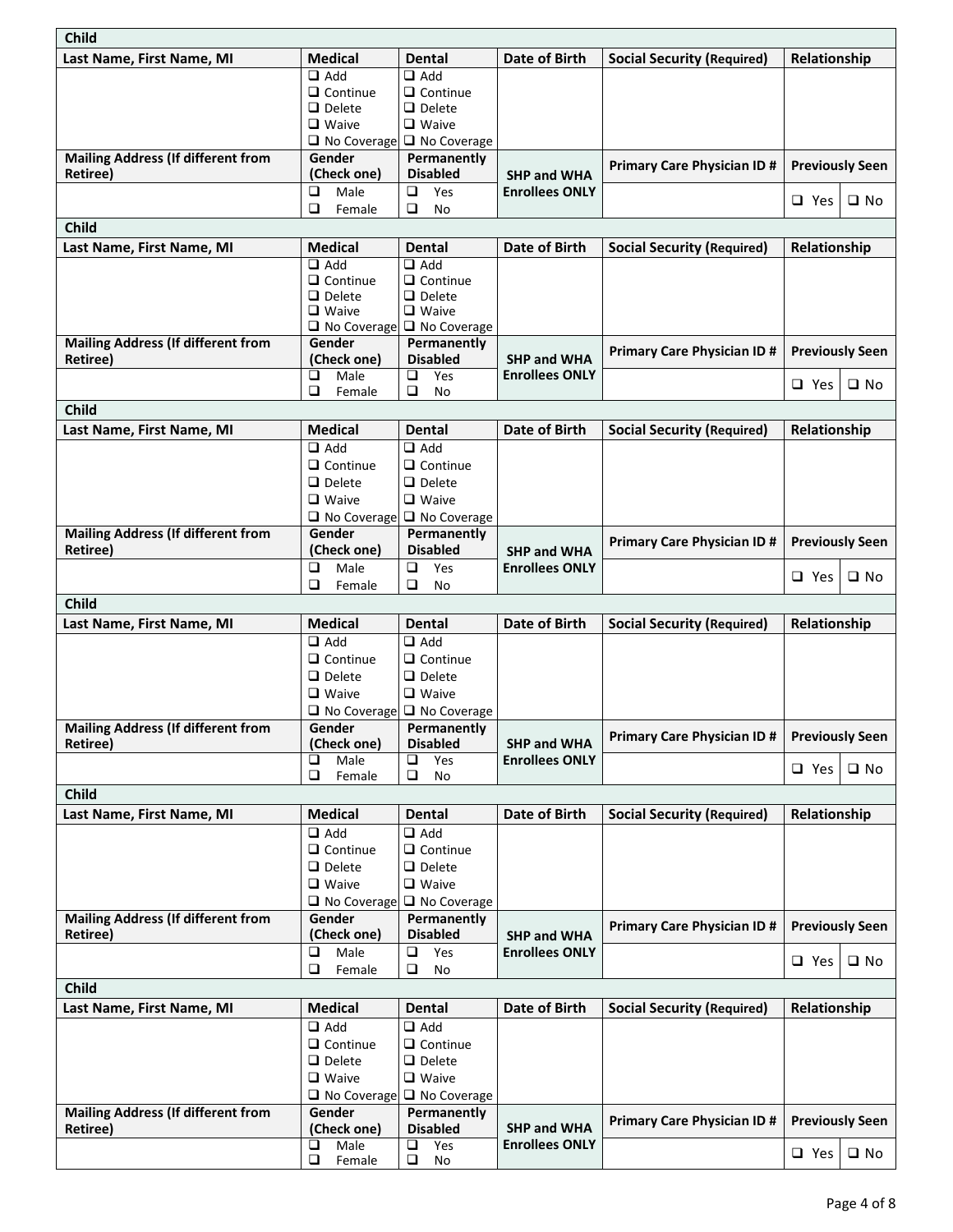| <b>Child</b>                              |                                    |                                       |                                                          |                                    |                        |                        |  |  |
|-------------------------------------------|------------------------------------|---------------------------------------|----------------------------------------------------------|------------------------------------|------------------------|------------------------|--|--|
| Last Name, First Name, MI                 | <b>Medical</b>                     | <b>Dental</b>                         | Date of Birth                                            | <b>Social Security (Required)</b>  | Relationship           |                        |  |  |
|                                           | $\Box$ Add                         | $\Box$ Add                            |                                                          |                                    |                        |                        |  |  |
|                                           | $\Box$ Continue                    | $\Box$ Continue                       |                                                          |                                    |                        |                        |  |  |
|                                           | $\Box$ Delete                      | $\Box$ Delete                         |                                                          |                                    |                        |                        |  |  |
|                                           | $\Box$ Waive<br>$\Box$ No Coverage | $\Box$ Waive<br>$\Box$ No Coverage    |                                                          |                                    |                        |                        |  |  |
| <b>Mailing Address (If different from</b> | Gender                             | Permanently                           |                                                          |                                    |                        |                        |  |  |
| <b>Retiree)</b>                           | (Check one)                        | <b>Disabled</b>                       | <b>SHP and WHA</b>                                       | <b>Primary Care Physician ID #</b> |                        | <b>Previously Seen</b> |  |  |
|                                           | $\Box$<br>Male                     | Yes<br>❏                              | <b>Enrollees ONLY</b>                                    |                                    |                        |                        |  |  |
|                                           | $\Box$<br>Female                   | ❏<br>No                               |                                                          |                                    | $\square$ Yes          | $\square$ No           |  |  |
| Child                                     |                                    |                                       |                                                          |                                    |                        |                        |  |  |
| Last Name, First Name, MI                 | <b>Medical</b>                     | <b>Dental</b>                         | Date of Birth                                            | <b>Social Security (Required)</b>  | Relationship           |                        |  |  |
|                                           | $\Box$ Add                         | $\Box$ Add                            |                                                          |                                    |                        |                        |  |  |
|                                           | $\Box$ Continue                    | $\Box$ Continue                       |                                                          |                                    |                        |                        |  |  |
|                                           | $\Box$ Delete<br>$\Box$ Waive      | $\Box$ Delete<br>$\Box$ Waive         |                                                          |                                    |                        |                        |  |  |
|                                           | □ No Coverage                      | $\Box$ No Coverage                    |                                                          |                                    |                        |                        |  |  |
| <b>Mailing Address (If different from</b> | Gender                             | Permanently                           |                                                          |                                    |                        |                        |  |  |
| Retiree)                                  | (Check one)                        | <b>Disabled</b>                       | SHP and WHA                                              | <b>Primary Care Physician ID #</b> | <b>Previously Seen</b> |                        |  |  |
|                                           | □<br>Male                          | $\Box$<br>Yes                         | <b>Enrollees ONLY</b>                                    |                                    | $\Box$ Yes             | $\square$ No           |  |  |
|                                           | $\Box$<br>Female                   | $\Box$<br>No                          |                                                          |                                    |                        |                        |  |  |
| <b>Child</b>                              |                                    |                                       |                                                          |                                    |                        |                        |  |  |
| Last Name, First Name, MI                 | <b>Medical</b><br>$\Box$ Add       | <b>Dental</b><br>$\Box$ Add           | Date of Birth                                            | <b>Social Security (Required)</b>  | Relationship           |                        |  |  |
|                                           | $\Box$ Continue                    | $\Box$ Continue                       |                                                          |                                    |                        |                        |  |  |
|                                           | $\Box$ Delete                      | $\Box$ Delete                         |                                                          |                                    |                        |                        |  |  |
|                                           | $\Box$ Waive                       | $\Box$ Waive                          |                                                          |                                    |                        |                        |  |  |
|                                           | No Coverage                        | $\Box$ No Coverage                    |                                                          |                                    |                        |                        |  |  |
| <b>Mailing Address (If different from</b> | Gender                             | Permanently                           |                                                          |                                    | <b>Previously Seen</b> |                        |  |  |
| Retiree)                                  | (Check one)                        | <b>Disabled</b>                       | <b>SHP and WHA</b>                                       | <b>Primary Care Physician ID #</b> |                        |                        |  |  |
|                                           | $\Box$<br>Male                     | $\Box$<br>Yes                         | <b>Enrollees ONLY</b>                                    |                                    | $\Box$ Yes             | $\square$ No           |  |  |
|                                           | $\Box$<br>Female                   | ❏<br>No                               |                                                          |                                    |                        |                        |  |  |
| <b>Child</b>                              |                                    |                                       |                                                          |                                    |                        |                        |  |  |
| Last Name, First Name, MI                 | <b>Medical</b>                     | <b>Dental</b>                         | <b>Date of Birth</b>                                     | <b>Social Security (Required)</b>  | Relationship           |                        |  |  |
|                                           | $\Box$ Add                         | $\Box$ Add                            |                                                          |                                    |                        |                        |  |  |
|                                           | $\Box$ Continue                    | $\Box$ Continue                       |                                                          |                                    |                        |                        |  |  |
|                                           | $\Box$ Delete<br>$\Box$ Waive      | $\Box$ Delete<br>$\Box$ Waive         |                                                          |                                    |                        |                        |  |  |
|                                           |                                    | $\Box$ No Coverage $\Box$ No Coverage |                                                          |                                    |                        |                        |  |  |
| <b>Mailing Address (If different from</b> | Gender                             | Permanently                           |                                                          |                                    |                        |                        |  |  |
| Retiree)                                  | (Check one)                        | <b>Disabled</b>                       | <b>Primary Care Physician ID #</b><br><b>SHP and WHA</b> |                                    | <b>Previously Seen</b> |                        |  |  |
|                                           | ❏<br>Male                          | Yes<br>❏                              | <b>Enrollees ONLY</b>                                    |                                    | $\Box$ Yes             | $\square$ No           |  |  |
|                                           | $\Box$<br>Female                   | $\Box$<br>No                          |                                                          |                                    |                        |                        |  |  |
| <b>Child</b>                              |                                    |                                       |                                                          |                                    |                        |                        |  |  |
| Last Name, First Name, MI                 | <b>Medical</b>                     | <b>Dental</b>                         | Date of Birth                                            | <b>Social Security (Required)</b>  | Relationship           |                        |  |  |
|                                           | $\Box$ Add                         | $\Box$ Add                            |                                                          |                                    |                        |                        |  |  |
|                                           | $\Box$ Continue                    | $\Box$ Continue                       |                                                          |                                    |                        |                        |  |  |
|                                           | $\Box$ Delete<br>$\Box$ Waive      | $\Box$ Delete<br>$\Box$ Waive         |                                                          |                                    |                        |                        |  |  |
|                                           | No Coverage                        | □ No Coverage                         |                                                          |                                    |                        |                        |  |  |
| <b>Mailing Address (If different from</b> | Gender                             | Permanently                           |                                                          |                                    |                        |                        |  |  |
| Retiree)                                  | (Check one)                        | <b>Disabled</b>                       | <b>Primary Care Physician ID #</b><br><b>SHP and WHA</b> |                                    | <b>Previously Seen</b> |                        |  |  |
|                                           | $\Box$<br>Male                     | $\Box$<br>Yes                         | <b>Enrollees ONLY</b>                                    |                                    | $\Box$ Yes             | $\square$ No           |  |  |
|                                           | $\Box$<br>Female                   | $\Box$<br>No                          |                                                          |                                    |                        |                        |  |  |
| <b>Child</b>                              |                                    |                                       |                                                          |                                    |                        |                        |  |  |
| Last Name, First Name, MI                 | <b>Medical</b>                     | <b>Dental</b>                         | Date of Birth                                            | <b>Social Security (Required)</b>  | Relationship           |                        |  |  |
|                                           | $\Box$ Add                         | $\Box$ Add                            |                                                          |                                    |                        |                        |  |  |
|                                           | $\Box$ Continue                    | $\Box$ Continue                       |                                                          |                                    |                        |                        |  |  |
|                                           | $\Box$ Delete                      | $\Box$ Delete                         |                                                          |                                    |                        |                        |  |  |
|                                           | $\Box$ Waive                       | □ Waive                               |                                                          |                                    |                        |                        |  |  |
| <b>Mailing Address (If different from</b> | $\Box$ No Coverage<br>Gender       | $\Box$ No Coverage<br>Permanently     |                                                          |                                    |                        |                        |  |  |
| Retiree)                                  | (Check one)                        | <b>Disabled</b>                       | <b>SHP and WHA</b>                                       | <b>Primary Care Physician ID#</b>  | <b>Previously Seen</b> |                        |  |  |
|                                           | Male<br>$\Box$                     | Yes<br>□                              | <b>Enrollees ONLY</b>                                    |                                    |                        |                        |  |  |
|                                           | o.<br>Female                       | o.<br>No                              |                                                          |                                    | $\Box$ Yes             | $\square$ No           |  |  |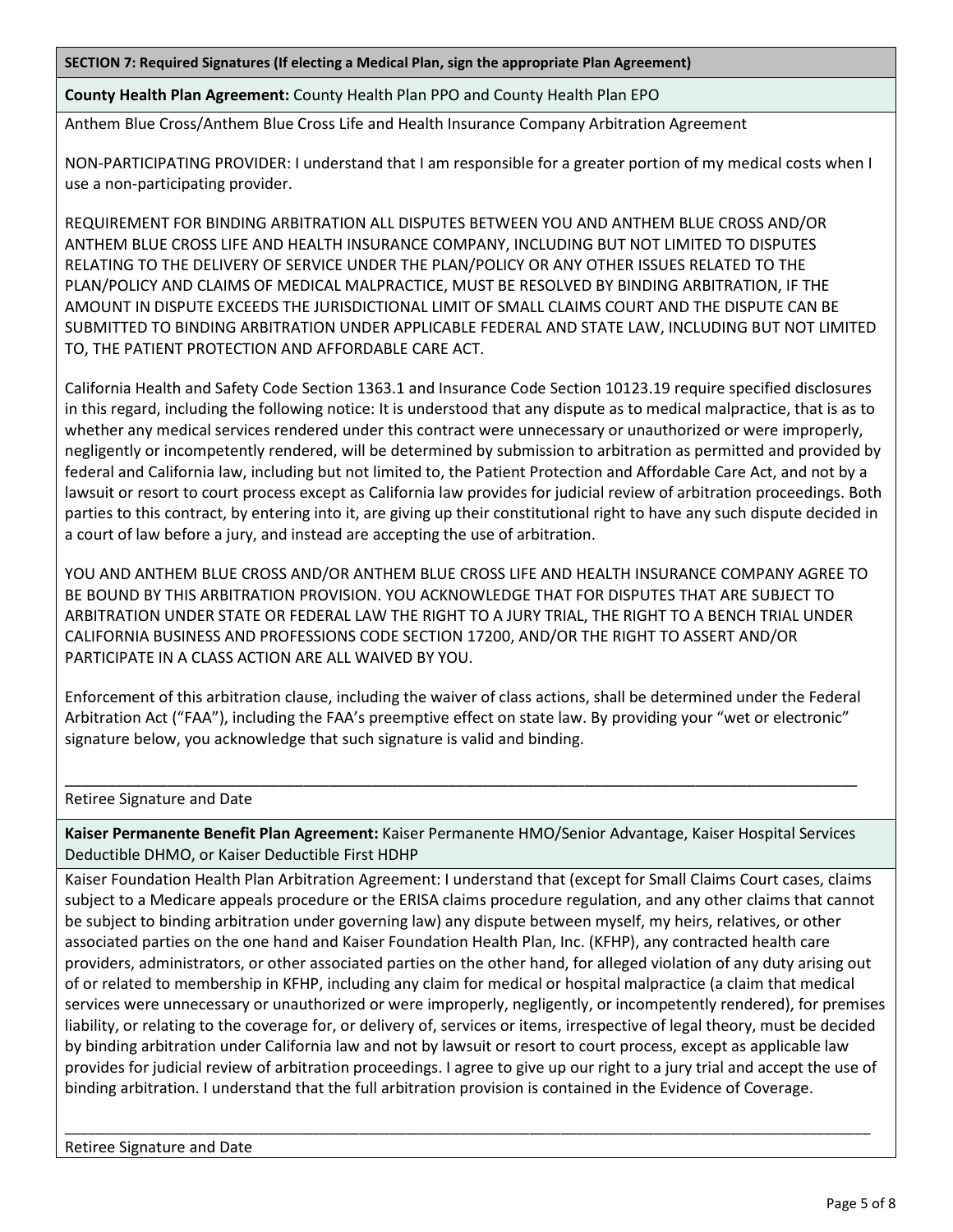**SECTION 7: Required Signatures (If electing a Medical Plan, sign the appropriate Plan Agreement)**

**County Health Plan Agreement:** County Health Plan PPO and County Health Plan EPO

Anthem Blue Cross/Anthem Blue Cross Life and Health Insurance Company Arbitration Agreement

NON-PARTICIPATING PROVIDER: I understand that I am responsible for a greater portion of my medical costs when I use a non-participating provider.

REQUIREMENT FOR BINDING ARBITRATION ALL DISPUTES BETWEEN YOU AND ANTHEM BLUE CROSS AND/OR ANTHEM BLUE CROSS LIFE AND HEALTH INSURANCE COMPANY, INCLUDING BUT NOT LIMITED TO DISPUTES RELATING TO THE DELIVERY OF SERVICE UNDER THE PLAN/POLICY OR ANY OTHER ISSUES RELATED TO THE PLAN/POLICY AND CLAIMS OF MEDICAL MALPRACTICE, MUST BE RESOLVED BY BINDING ARBITRATION, IF THE AMOUNT IN DISPUTE EXCEEDS THE JURISDICTIONAL LIMIT OF SMALL CLAIMS COURT AND THE DISPUTE CAN BE SUBMITTED TO BINDING ARBITRATION UNDER APPLICABLE FEDERAL AND STATE LAW, INCLUDING BUT NOT LIMITED TO, THE PATIENT PROTECTION AND AFFORDABLE CARE ACT.

California Health and Safety Code Section 1363.1 and Insurance Code Section 10123.19 require specified disclosures in this regard, including the following notice: It is understood that any dispute as to medical malpractice, that is as to whether any medical services rendered under this contract were unnecessary or unauthorized or were improperly, negligently or incompetently rendered, will be determined by submission to arbitration as permitted and provided by federal and California law, including but not limited to, the Patient Protection and Affordable Care Act, and not by a lawsuit or resort to court process except as California law provides for judicial review of arbitration proceedings. Both parties to this contract, by entering into it, are giving up their constitutional right to have any such dispute decided in a court of law before a jury, and instead are accepting the use of arbitration.

YOU AND ANTHEM BLUE CROSS AND/OR ANTHEM BLUE CROSS LIFE AND HEALTH INSURANCE COMPANY AGREE TO BE BOUND BY THIS ARBITRATION PROVISION. YOU ACKNOWLEDGE THAT FOR DISPUTES THAT ARE SUBJECT TO ARBITRATION UNDER STATE OR FEDERAL LAW THE RIGHT TO A JURY TRIAL, THE RIGHT TO A BENCH TRIAL UNDER CALIFORNIA BUSINESS AND PROFESSIONS CODE SECTION 17200, AND/OR THE RIGHT TO ASSERT AND/OR PARTICIPATE IN A CLASS ACTION ARE ALL WAIVED BY YOU.

Enforcement of this arbitration clause, including the waiver of class actions, shall be determined under the Federal Arbitration Act ("FAA"), including the FAA's preemptive effect on state law. By providing your "wet or electronic" signature below, you acknowledge that such signature is valid and binding.

Retiree Signature and Date

**Kaiser Permanente Benefit Plan Agreement:** Kaiser Permanente HMO/Senior Advantage, Kaiser Hospital Services Deductible DHMO, or Kaiser Deductible First HDHP

\_\_\_\_\_\_\_\_\_\_\_\_\_\_\_\_\_\_\_\_\_\_\_\_\_\_\_\_\_\_\_\_\_\_\_\_\_\_\_\_\_\_\_\_\_\_\_\_\_\_\_\_\_\_\_\_\_\_\_\_\_\_\_\_\_\_\_\_\_\_\_\_\_\_\_\_\_\_\_\_\_\_\_\_\_\_\_\_\_\_\_\_\_

Kaiser Foundation Health Plan Arbitration Agreement: I understand that (except for Small Claims Court cases, claims subject to a Medicare appeals procedure or the ERISA claims procedure regulation, and any other claims that cannot be subject to binding arbitration under governing law) any dispute between myself, my heirs, relatives, or other associated parties on the one hand and Kaiser Foundation Health Plan, Inc. (KFHP), any contracted health care providers, administrators, or other associated parties on the other hand, for alleged violation of any duty arising out of or related to membership in KFHP, including any claim for medical or hospital malpractice (a claim that medical services were unnecessary or unauthorized or were improperly, negligently, or incompetently rendered), for premises liability, or relating to the coverage for, or delivery of, services or items, irrespective of legal theory, must be decided by binding arbitration under California law and not by lawsuit or resort to court process, except as applicable law provides for judicial review of arbitration proceedings. I agree to give up our right to a jury trial and accept the use of binding arbitration. I understand that the full arbitration provision is contained in the Evidence of Coverage.

\_\_\_\_\_\_\_\_\_\_\_\_\_\_\_\_\_\_\_\_\_\_\_\_\_\_\_\_\_\_\_\_\_\_\_\_\_\_\_\_\_\_\_\_\_\_\_\_\_\_\_\_\_\_\_\_\_\_\_\_\_\_\_\_\_\_\_\_\_\_\_\_\_\_\_\_\_\_\_\_\_\_\_\_\_\_\_\_\_\_\_\_\_\_\_\_\_\_\_\_\_\_\_\_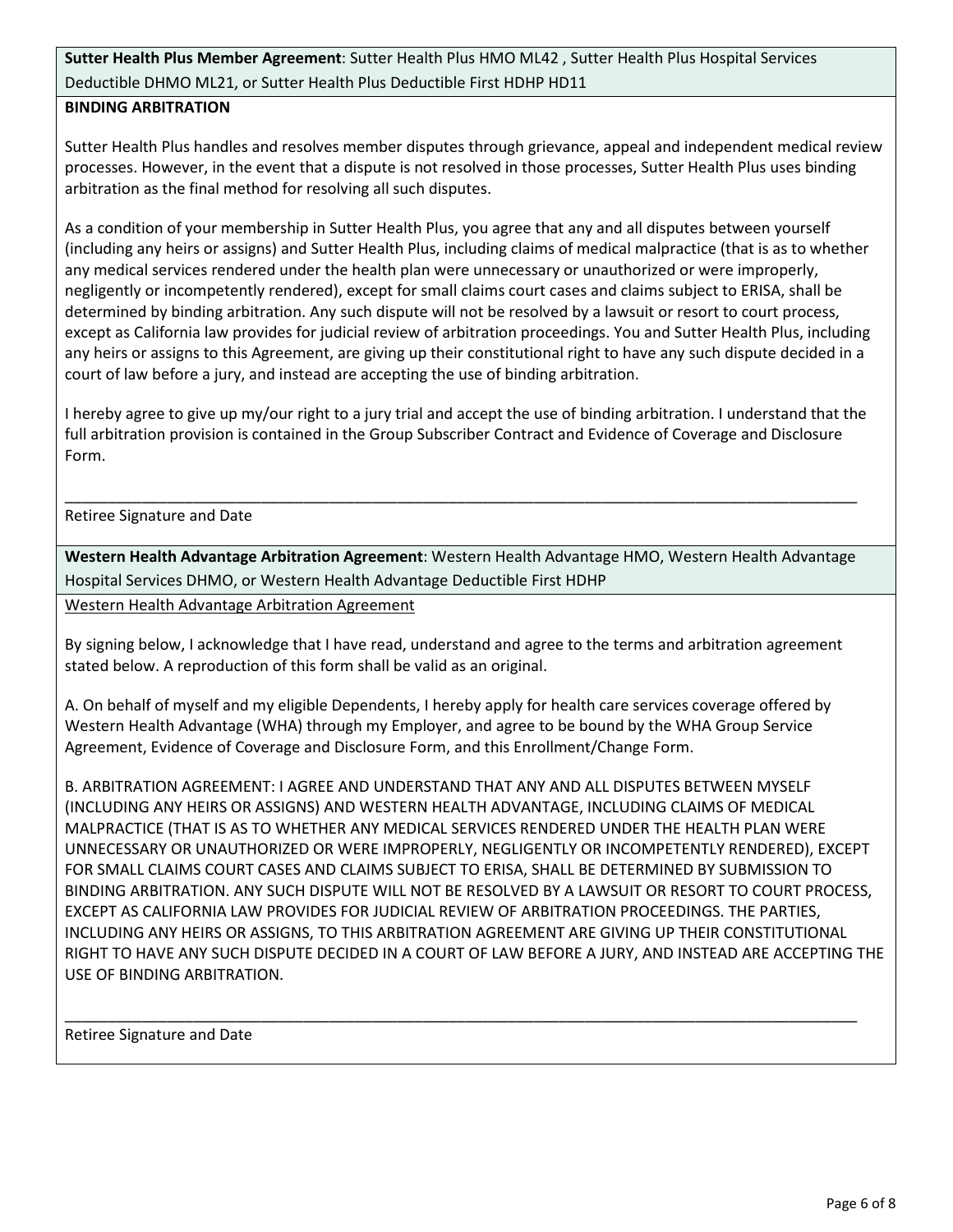**Sutter Health Plus Member Agreement**: Sutter Health Plus HMO ML42 , Sutter Health Plus Hospital Services Deductible DHMO ML21, or Sutter Health Plus Deductible First HDHP HD11

## **BINDING ARBITRATION**

Sutter Health Plus handles and resolves member disputes through grievance, appeal and independent medical review processes. However, in the event that a dispute is not resolved in those processes, Sutter Health Plus uses binding arbitration as the final method for resolving all such disputes.

As a condition of your membership in Sutter Health Plus, you agree that any and all disputes between yourself (including any heirs or assigns) and Sutter Health Plus, including claims of medical malpractice (that is as to whether any medical services rendered under the health plan were unnecessary or unauthorized or were improperly, negligently or incompetently rendered), except for small claims court cases and claims subject to ERISA, shall be determined by binding arbitration. Any such dispute will not be resolved by a lawsuit or resort to court process, except as California law provides for judicial review of arbitration proceedings. You and Sutter Health Plus, including any heirs or assigns to this Agreement, are giving up their constitutional right to have any such dispute decided in a court of law before a jury, and instead are accepting the use of binding arbitration.

I hereby agree to give up my/our right to a jury trial and accept the use of binding arbitration. I understand that the full arbitration provision is contained in the Group Subscriber Contract and Evidence of Coverage and Disclosure Form.

Retiree Signature and Date

**Western Health Advantage Arbitration Agreement**: Western Health Advantage HMO, Western Health Advantage Hospital Services DHMO, or Western Health Advantage Deductible First HDHP

\_\_\_\_\_\_\_\_\_\_\_\_\_\_\_\_\_\_\_\_\_\_\_\_\_\_\_\_\_\_\_\_\_\_\_\_\_\_\_\_\_\_\_\_\_\_\_\_\_\_\_\_\_\_\_\_\_\_\_\_\_\_\_\_\_\_\_\_\_\_\_\_\_\_\_\_\_\_\_\_\_\_\_\_\_\_\_\_\_\_\_\_\_

Western Health Advantage Arbitration Agreement

By signing below, I acknowledge that I have read, understand and agree to the terms and arbitration agreement stated below. A reproduction of this form shall be valid as an original.

A. On behalf of myself and my eligible Dependents, I hereby apply for health care services coverage offered by Western Health Advantage (WHA) through my Employer, and agree to be bound by the WHA Group Service Agreement, Evidence of Coverage and Disclosure Form, and this Enrollment/Change Form.

B. ARBITRATION AGREEMENT: I AGREE AND UNDERSTAND THAT ANY AND ALL DISPUTES BETWEEN MYSELF (INCLUDING ANY HEIRS OR ASSIGNS) AND WESTERN HEALTH ADVANTAGE, INCLUDING CLAIMS OF MEDICAL MALPRACTICE (THAT IS AS TO WHETHER ANY MEDICAL SERVICES RENDERED UNDER THE HEALTH PLAN WERE UNNECESSARY OR UNAUTHORIZED OR WERE IMPROPERLY, NEGLIGENTLY OR INCOMPETENTLY RENDERED), EXCEPT FOR SMALL CLAIMS COURT CASES AND CLAIMS SUBJECT TO ERISA, SHALL BE DETERMINED BY SUBMISSION TO BINDING ARBITRATION. ANY SUCH DISPUTE WILL NOT BE RESOLVED BY A LAWSUIT OR RESORT TO COURT PROCESS, EXCEPT AS CALIFORNIA LAW PROVIDES FOR JUDICIAL REVIEW OF ARBITRATION PROCEEDINGS. THE PARTIES, INCLUDING ANY HEIRS OR ASSIGNS, TO THIS ARBITRATION AGREEMENT ARE GIVING UP THEIR CONSTITUTIONAL RIGHT TO HAVE ANY SUCH DISPUTE DECIDED IN A COURT OF LAW BEFORE A JURY, AND INSTEAD ARE ACCEPTING THE USE OF BINDING ARBITRATION.

\_\_\_\_\_\_\_\_\_\_\_\_\_\_\_\_\_\_\_\_\_\_\_\_\_\_\_\_\_\_\_\_\_\_\_\_\_\_\_\_\_\_\_\_\_\_\_\_\_\_\_\_\_\_\_\_\_\_\_\_\_\_\_\_\_\_\_\_\_\_\_\_\_\_\_\_\_\_\_\_\_\_\_\_\_\_\_\_\_\_\_\_\_

Retiree Signature and Date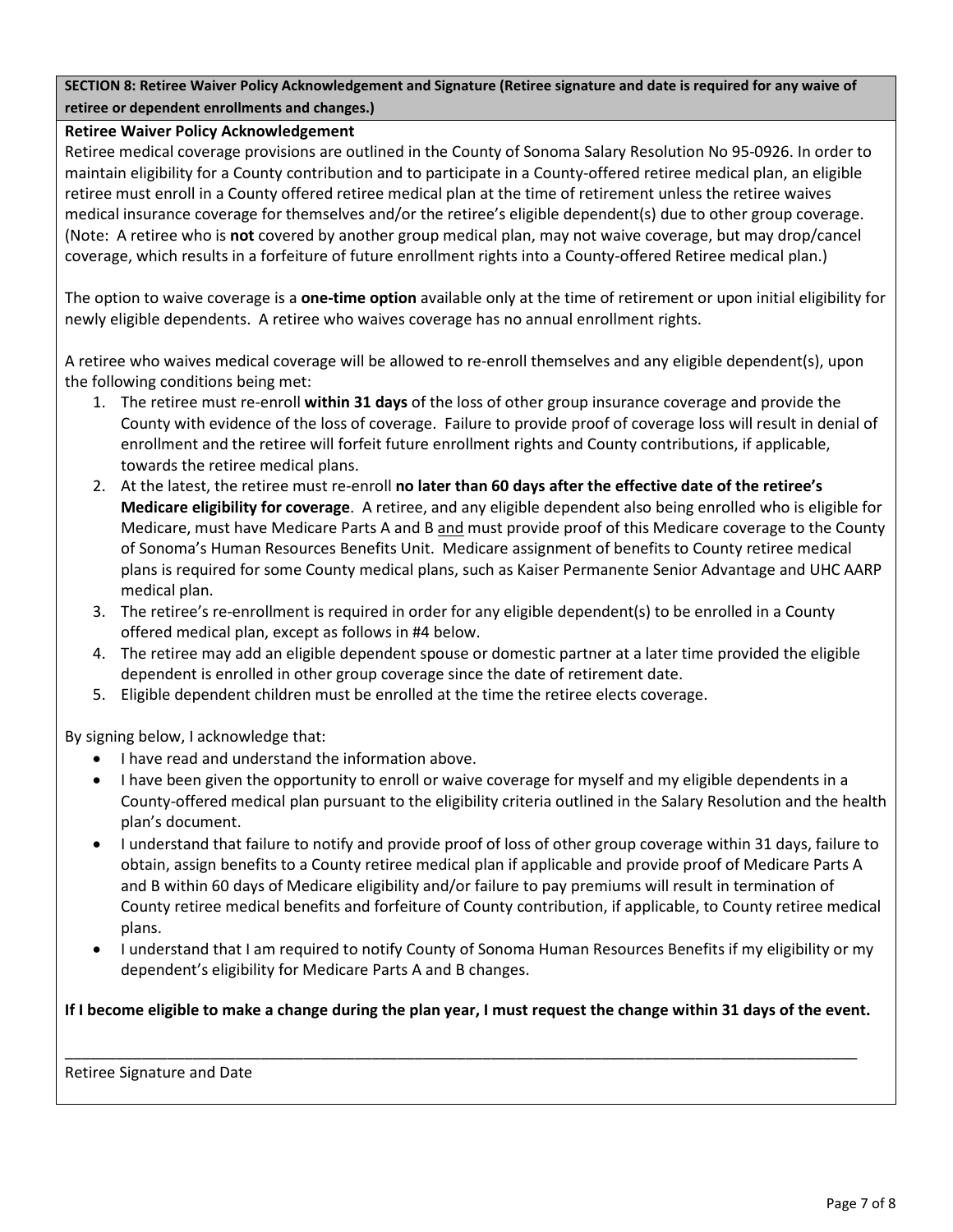**SECTION 8: Retiree Waiver Policy Acknowledgement and Signature (Retiree signature and date is required for any waive of retiree or dependent enrollments and changes.)**

## **Retiree Waiver Policy Acknowledgement**

Retiree medical coverage provisions are outlined in the County of Sonoma Salary Resolution No 95-0926. In order to maintain eligibility for a County contribution and to participate in a County-offered retiree medical plan, an eligible retiree must enroll in a County offered retiree medical plan at the time of retirement unless the retiree waives medical insurance coverage for themselves and/or the retiree's eligible dependent(s) due to other group coverage. (Note: A retiree who is **not** covered by another group medical plan, may not waive coverage, but may drop/cancel coverage, which results in a forfeiture of future enrollment rights into a County-offered Retiree medical plan.)

The option to waive coverage is a **one-time option** available only at the time of retirement or upon initial eligibility for newly eligible dependents. A retiree who waives coverage has no annual enrollment rights.

A retiree who waives medical coverage will be allowed to re-enroll themselves and any eligible dependent(s), upon the following conditions being met:

- 1. The retiree must re-enroll **within 31 days** of the loss of other group insurance coverage and provide the County with evidence of the loss of coverage. Failure to provide proof of coverage loss will result in denial of enrollment and the retiree will forfeit future enrollment rights and County contributions, if applicable, towards the retiree medical plans.
- 2. At the latest, the retiree must re-enroll **no later than 60 days after the effective date of the retiree's Medicare eligibility for coverage**. A retiree, and any eligible dependent also being enrolled who is eligible for Medicare, must have Medicare Parts A and B and must provide proof of this Medicare coverage to the County of Sonoma's Human Resources Benefits Unit. Medicare assignment of benefits to County retiree medical plans is required for some County medical plans, such as Kaiser Permanente Senior Advantage and UHC AARP medical plan.
- 3. The retiree's re-enrollment is required in order for any eligible dependent(s) to be enrolled in a County offered medical plan, except as follows in #4 below.
- 4. The retiree may add an eligible dependent spouse or domestic partner at a later time provided the eligible dependent is enrolled in other group coverage since the date of retirement date.
- 5. Eligible dependent children must be enrolled at the time the retiree elects coverage.

By signing below, I acknowledge that:

- I have read and understand the information above.
- I have been given the opportunity to enroll or waive coverage for myself and my eligible dependents in a County-offered medical plan pursuant to the eligibility criteria outlined in the Salary Resolution and the health plan's document.
- I understand that failure to notify and provide proof of loss of other group coverage within 31 days, failure to obtain, assign benefits to a County retiree medical plan if applicable and provide proof of Medicare Parts A and B within 60 days of Medicare eligibility and/or failure to pay premiums will result in termination of County retiree medical benefits and forfeiture of County contribution, if applicable, to County retiree medical plans.
- I understand that I am required to notify County of Sonoma Human Resources Benefits if my eligibility or my dependent's eligibility for Medicare Parts A and B changes.

**If I become eligible to make a change during the plan year, I must request the change within 31 days of the event.** 

\_\_\_\_\_\_\_\_\_\_\_\_\_\_\_\_\_\_\_\_\_\_\_\_\_\_\_\_\_\_\_\_\_\_\_\_\_\_\_\_\_\_\_\_\_\_\_\_\_\_\_\_\_\_\_\_\_\_\_\_\_\_\_\_\_\_\_\_\_\_\_\_\_\_\_\_\_\_\_\_\_\_\_\_\_\_\_\_\_\_\_\_\_

Retiree Signature and Date